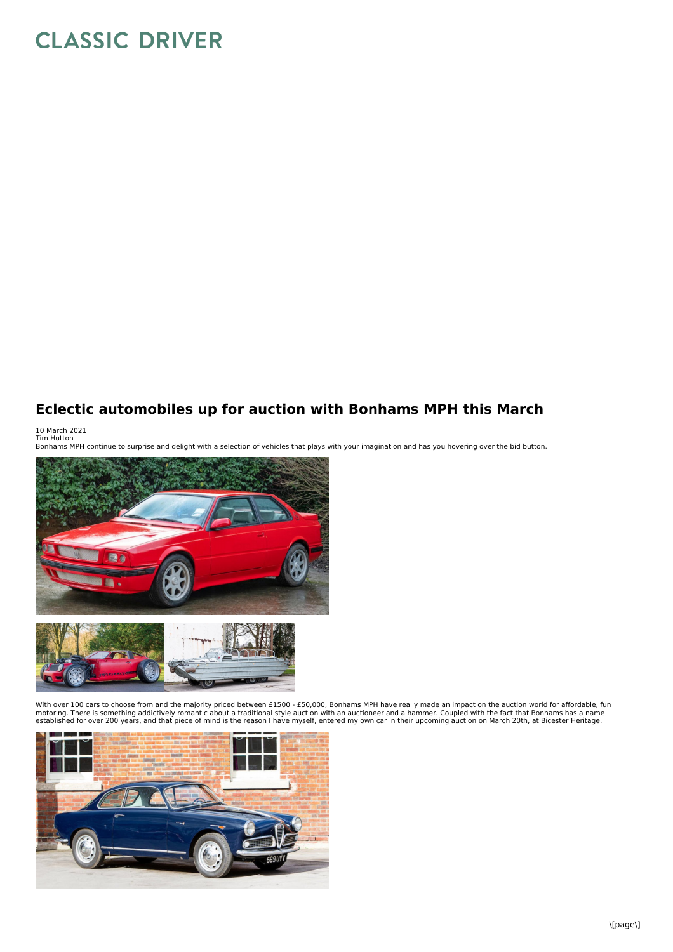## **CLASSIC DRIVER**

## **Eclectic automobiles up for auction with Bonhams MPH this March**

10 March 2021<br>Tim Hutton<br>Bonhams MPH continue to surprise and delight with a selection of vehicles that plays with your imagination and has you hovering over the bid button.



With over 100 cars to choose from and the majority priced between £1500 - £50,000, Bonhams MPH have really made an impact on the auction world for affordable, fun motoring. There is something addictively romantic about a traditional style auction with an auctioneer and a hammer. Coupled with the fact that Bonhams has a name<br>established for over 200 years, and that piece of mind is t